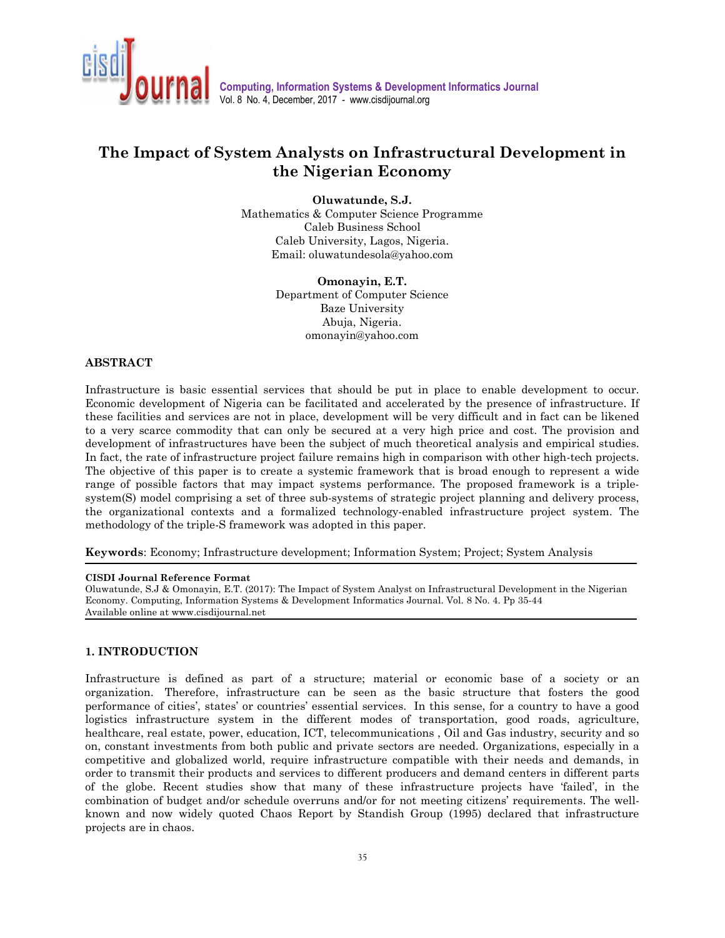

# **The Impact of System Analysts on Infrastructural Development in the Nigerian Economy**

**Oluwatunde, S.J.** 

Mathematics & Computer Science Programme Caleb Business School Caleb University, Lagos, Nigeria. Email: oluwatundesola@yahoo.com

> **Omonayin, E.T.**  Department of Computer Science Baze University Abuja, Nigeria. omonayin@yahoo.com

#### **ABSTRACT**

Infrastructure is basic essential services that should be put in place to enable development to occur. Economic development of Nigeria can be facilitated and accelerated by the presence of infrastructure. If these facilities and services are not in place, development will be very difficult and in fact can be likened to a very scarce commodity that can only be secured at a very high price and cost. The provision and development of infrastructures have been the subject of much theoretical analysis and empirical studies. In fact, the rate of infrastructure project failure remains high in comparison with other high-tech projects. The objective of this paper is to create a systemic framework that is broad enough to represent a wide range of possible factors that may impact systems performance. The proposed framework is a triplesystem(S) model comprising a set of three sub-systems of strategic project planning and delivery process, the organizational contexts and a formalized technology-enabled infrastructure project system. The methodology of the triple-S framework was adopted in this paper.

**Keywords**: Economy; Infrastructure development; Information System; Project; System Analysis

#### ֺ **CISDI Journal Reference Format**

Oluwatunde, S.J & Omonayin, E.T. (2017): The Impact of System Analyst on Infrastructural Development in the Nigerian Economy. Computing, Information Systems & Development Informatics Journal. Vol. 8 No. 4. Pp 35-44 Available online at www.cisdijournal.net

## **1. INTRODUCTION**

Infrastructure is defined as part of a structure; material or economic base of a society or an organization. Therefore, infrastructure can be seen as the basic structure that fosters the good performance of cities', states' or countries' essential services. In this sense, for a country to have a good logistics infrastructure system in the different modes of transportation, good roads, agriculture, healthcare, real estate, power, education, ICT, telecommunications, Oil and Gas industry, security and so on, constant investments from both public and private sectors are needed. Organizations, especially in a competitive and globalized world, require infrastructure compatible with their needs and demands, in order to transmit their products and services to different producers and demand centers in different parts of the globe. Recent studies show that many of these infrastructure projects have 'failed', in the combination of budget and/or schedule overruns and/or for not meeting citizens' requirements. The wellknown and now widely quoted Chaos Report by Standish Group (1995) declared that infrastructure projects are in chaos.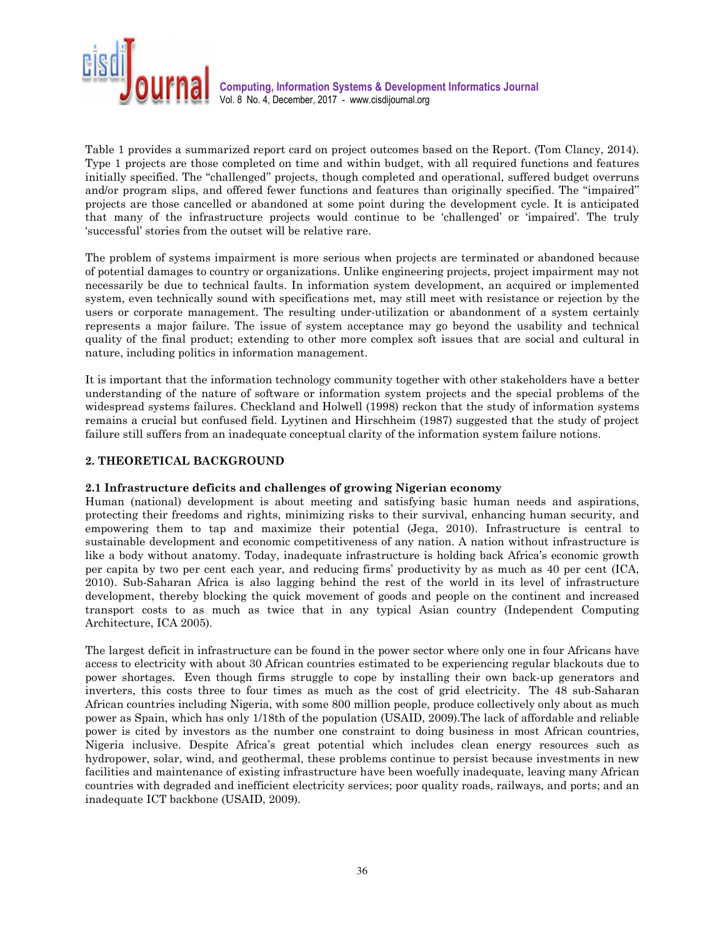

Table 1 provides a summarized report card on project outcomes based on the Report. (Tom Clancy, 2014). Type 1 projects are those completed on time and within budget, with all required functions and features initially specified. The ''challenged'' projects, though completed and operational, suffered budget overruns and/or program slips, and offered fewer functions and features than originally specified. The ''impaired'' projects are those cancelled or abandoned at some point during the development cycle. It is anticipated that many of the infrastructure projects would continue to be 'challenged' or 'impaired'. The truly 'successful' stories from the outset will be relative rare.

The problem of systems impairment is more serious when projects are terminated or abandoned because of potential damages to country or organizations. Unlike engineering projects, project impairment may not necessarily be due to technical faults. In information system development, an acquired or implemented system, even technically sound with specifications met, may still meet with resistance or rejection by the users or corporate management. The resulting under-utilization or abandonment of a system certainly represents a major failure. The issue of system acceptance may go beyond the usability and technical quality of the final product; extending to other more complex soft issues that are social and cultural in nature, including politics in information management.

It is important that the information technology community together with other stakeholders have a better understanding of the nature of software or information system projects and the special problems of the widespread systems failures. Checkland and Holwell (1998) reckon that the study of information systems remains a crucial but confused field. Lyytinen and Hirschheim (1987) suggested that the study of project failure still suffers from an inadequate conceptual clarity of the information system failure notions.

## **2. THEORETICAL BACKGROUND**

#### **2.1 Infrastructure deficits and challenges of growing Nigerian economy**

Human (national) development is about meeting and satisfying basic human needs and aspirations, protecting their freedoms and rights, minimizing risks to their survival, enhancing human security, and empowering them to tap and maximize their potential (Jega, 2010). Infrastructure is central to sustainable development and economic competitiveness of any nation. A nation without infrastructure is like a body without anatomy. Today, inadequate infrastructure is holding back Africa's economic growth per capita by two per cent each year, and reducing firms' productivity by as much as 40 per cent (ICA, 2010). Sub-Saharan Africa is also lagging behind the rest of the world in its level of infrastructure development, thereby blocking the quick movement of goods and people on the continent and increased transport costs to as much as twice that in any typical Asian country (Independent Computing Architecture, ICA 2005).

The largest deficit in infrastructure can be found in the power sector where only one in four Africans have access to electricity with about 30 African countries estimated to be experiencing regular blackouts due to power shortages. Even though firms struggle to cope by installing their own back-up generators and inverters, this costs three to four times as much as the cost of grid electricity. The 48 sub-Saharan African countries including Nigeria, with some 800 million people, produce collectively only about as much power as Spain, which has only 1/18th of the population (USAID, 2009).The lack of affordable and reliable power is cited by investors as the number one constraint to doing business in most African countries, Nigeria inclusive. Despite Africa's great potential which includes clean energy resources such as hydropower, solar, wind, and geothermal, these problems continue to persist because investments in new facilities and maintenance of existing infrastructure have been woefully inadequate, leaving many African countries with degraded and inefficient electricity services; poor quality roads, railways, and ports; and an inadequate ICT backbone (USAID, 2009).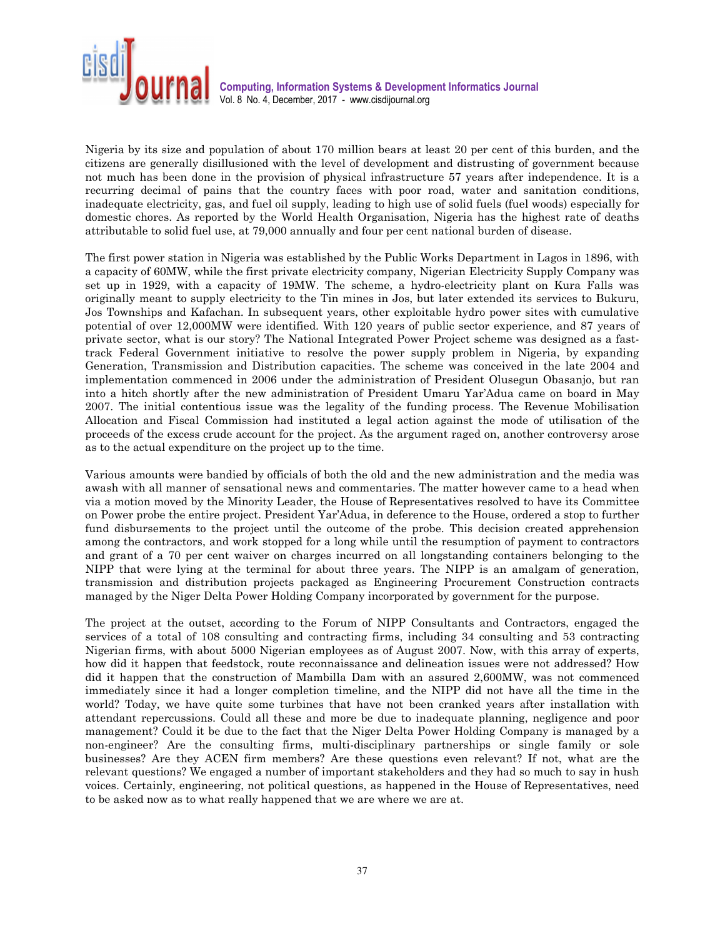

Nigeria by its size and population of about 170 million bears at least 20 per cent of this burden, and the citizens are generally disillusioned with the level of development and distrusting of government because not much has been done in the provision of physical infrastructure 57 years after independence. It is a recurring decimal of pains that the country faces with poor road, water and sanitation conditions, inadequate electricity, gas, and fuel oil supply, leading to high use of solid fuels (fuel woods) especially for domestic chores. As reported by the World Health Organisation, Nigeria has the highest rate of deaths attributable to solid fuel use, at 79,000 annually and four per cent national burden of disease.

The first power station in Nigeria was established by the Public Works Department in Lagos in 1896, with a capacity of 60MW, while the first private electricity company, Nigerian Electricity Supply Company was set up in 1929, with a capacity of 19MW. The scheme, a hydro-electricity plant on Kura Falls was originally meant to supply electricity to the Tin mines in Jos, but later extended its services to Bukuru, Jos Townships and Kafachan. In subsequent years, other exploitable hydro power sites with cumulative potential of over 12,000MW were identified. With 120 years of public sector experience, and 87 years of private sector, what is our story? The National Integrated Power Project scheme was designed as a fasttrack Federal Government initiative to resolve the power supply problem in Nigeria, by expanding Generation, Transmission and Distribution capacities. The scheme was conceived in the late 2004 and implementation commenced in 2006 under the administration of President Olusegun Obasanjo, but ran into a hitch shortly after the new administration of President Umaru Yar'Adua came on board in May 2007. The initial contentious issue was the legality of the funding process. The Revenue Mobilisation Allocation and Fiscal Commission had instituted a legal action against the mode of utilisation of the proceeds of the excess crude account for the project. As the argument raged on, another controversy arose as to the actual expenditure on the project up to the time.

Various amounts were bandied by officials of both the old and the new administration and the media was awash with all manner of sensational news and commentaries. The matter however came to a head when via a motion moved by the Minority Leader, the House of Representatives resolved to have its Committee on Power probe the entire project. President Yar'Adua, in deference to the House, ordered a stop to further fund disbursements to the project until the outcome of the probe. This decision created apprehension among the contractors, and work stopped for a long while until the resumption of payment to contractors and grant of a 70 per cent waiver on charges incurred on all longstanding containers belonging to the NIPP that were lying at the terminal for about three years. The NIPP is an amalgam of generation, transmission and distribution projects packaged as Engineering Procurement Construction contracts managed by the Niger Delta Power Holding Company incorporated by government for the purpose.

The project at the outset, according to the Forum of NIPP Consultants and Contractors, engaged the services of a total of 108 consulting and contracting firms, including 34 consulting and 53 contracting Nigerian firms, with about 5000 Nigerian employees as of August 2007. Now, with this array of experts, how did it happen that feedstock, route reconnaissance and delineation issues were not addressed? How did it happen that the construction of Mambilla Dam with an assured 2,600MW, was not commenced immediately since it had a longer completion timeline, and the NIPP did not have all the time in the world? Today, we have quite some turbines that have not been cranked years after installation with attendant repercussions. Could all these and more be due to inadequate planning, negligence and poor management? Could it be due to the fact that the Niger Delta Power Holding Company is managed by a non-engineer? Are the consulting firms, multi-disciplinary partnerships or single family or sole businesses? Are they ACEN firm members? Are these questions even relevant? If not, what are the relevant questions? We engaged a number of important stakeholders and they had so much to say in hush voices. Certainly, engineering, not political questions, as happened in the House of Representatives, need to be asked now as to what really happened that we are where we are at.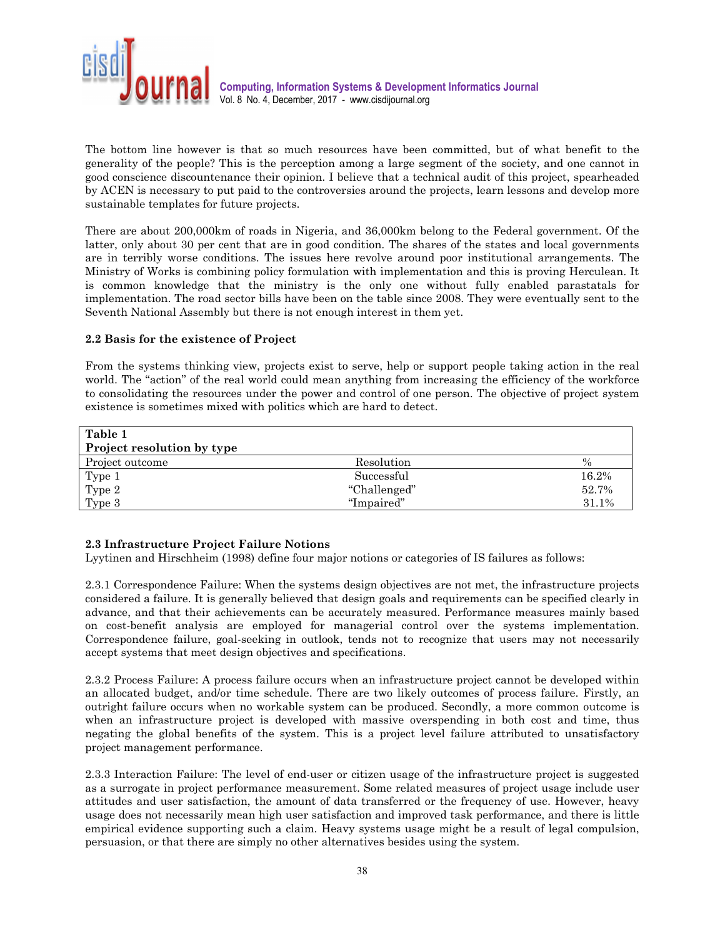

The bottom line however is that so much resources have been committed, but of what benefit to the generality of the people? This is the perception among a large segment of the society, and one cannot in good conscience discountenance their opinion. I believe that a technical audit of this project, spearheaded by ACEN is necessary to put paid to the controversies around the projects, learn lessons and develop more sustainable templates for future projects.

There are about 200,000km of roads in Nigeria, and 36,000km belong to the Federal government. Of the latter, only about 30 per cent that are in good condition. The shares of the states and local governments are in terribly worse conditions. The issues here revolve around poor institutional arrangements. The Ministry of Works is combining policy formulation with implementation and this is proving Herculean. It is common knowledge that the ministry is the only one without fully enabled parastatals for implementation. The road sector bills have been on the table since 2008. They were eventually sent to the Seventh National Assembly but there is not enough interest in them yet.

### **2.2 Basis for the existence of Project**

From the systems thinking view, projects exist to serve, help or support people taking action in the real world. The "action" of the real world could mean anything from increasing the efficiency of the workforce to consolidating the resources under the power and control of one person. The objective of project system existence is sometimes mixed with politics which are hard to detect.

| Table 1<br>Project resolution by type |              |       |
|---------------------------------------|--------------|-------|
| Project outcome                       | Resolution   | $\%$  |
| Type 1                                | Successful   | 16.2% |
| Type 2                                | "Challenged" | 52.7% |
| Type 3                                | "Impaired"   | 31.1% |

## **2.3 Infrastructure Project Failure Notions**

Lyytinen and Hirschheim (1998) define four major notions or categories of IS failures as follows:

2.3.1 Correspondence Failure: When the systems design objectives are not met, the infrastructure projects considered a failure. It is generally believed that design goals and requirements can be specified clearly in advance, and that their achievements can be accurately measured. Performance measures mainly based on cost-benefit analysis are employed for managerial control over the systems implementation. Correspondence failure, goal-seeking in outlook, tends not to recognize that users may not necessarily accept systems that meet design objectives and specifications.

2.3.2 Process Failure: A process failure occurs when an infrastructure project cannot be developed within an allocated budget, and/or time schedule. There are two likely outcomes of process failure. Firstly, an outright failure occurs when no workable system can be produced. Secondly, a more common outcome is when an infrastructure project is developed with massive overspending in both cost and time, thus negating the global benefits of the system. This is a project level failure attributed to unsatisfactory project management performance.

2.3.3 Interaction Failure: The level of end-user or citizen usage of the infrastructure project is suggested as a surrogate in project performance measurement. Some related measures of project usage include user attitudes and user satisfaction, the amount of data transferred or the frequency of use. However, heavy usage does not necessarily mean high user satisfaction and improved task performance, and there is little empirical evidence supporting such a claim. Heavy systems usage might be a result of legal compulsion, persuasion, or that there are simply no other alternatives besides using the system.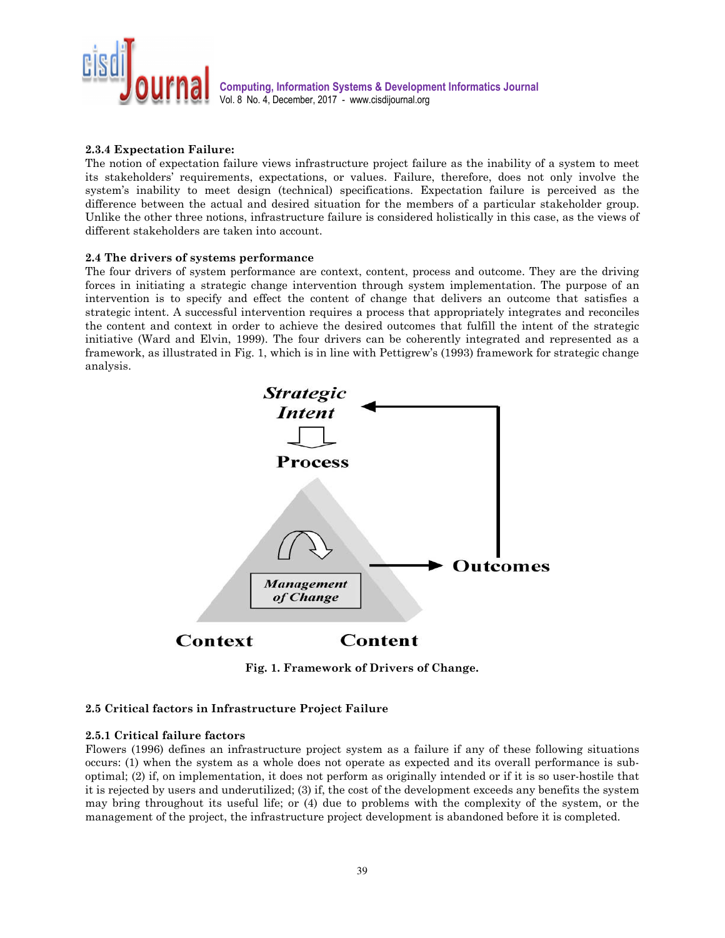

## **2.3.4 Expectation Failure:**

The notion of expectation failure views infrastructure project failure as the inability of a system to meet its stakeholders' requirements, expectations, or values. Failure, therefore, does not only involve the system's inability to meet design (technical) specifications. Expectation failure is perceived as the difference between the actual and desired situation for the members of a particular stakeholder group. Unlike the other three notions, infrastructure failure is considered holistically in this case, as the views of different stakeholders are taken into account.

#### **2.4 The drivers of systems performance**

The four drivers of system performance are context, content, process and outcome. They are the driving forces in initiating a strategic change intervention through system implementation. The purpose of an intervention is to specify and effect the content of change that delivers an outcome that satisfies a strategic intent. A successful intervention requires a process that appropriately integrates and reconciles the content and context in order to achieve the desired outcomes that fulfill the intent of the strategic initiative (Ward and Elvin, 1999). The four drivers can be coherently integrated and represented as a framework, as illustrated in Fig. 1, which is in line with Pettigrew's (1993) framework for strategic change analysis.



**Fig. 1. Framework of Drivers of Change.** 

#### **2.5 Critical factors in Infrastructure Project Failure**

### **2.5.1 Critical failure factors**

Flowers (1996) defines an infrastructure project system as a failure if any of these following situations occurs: (1) when the system as a whole does not operate as expected and its overall performance is suboptimal; (2) if, on implementation, it does not perform as originally intended or if it is so user-hostile that it is rejected by users and underutilized; (3) if, the cost of the development exceeds any benefits the system may bring throughout its useful life; or (4) due to problems with the complexity of the system, or the management of the project, the infrastructure project development is abandoned before it is completed.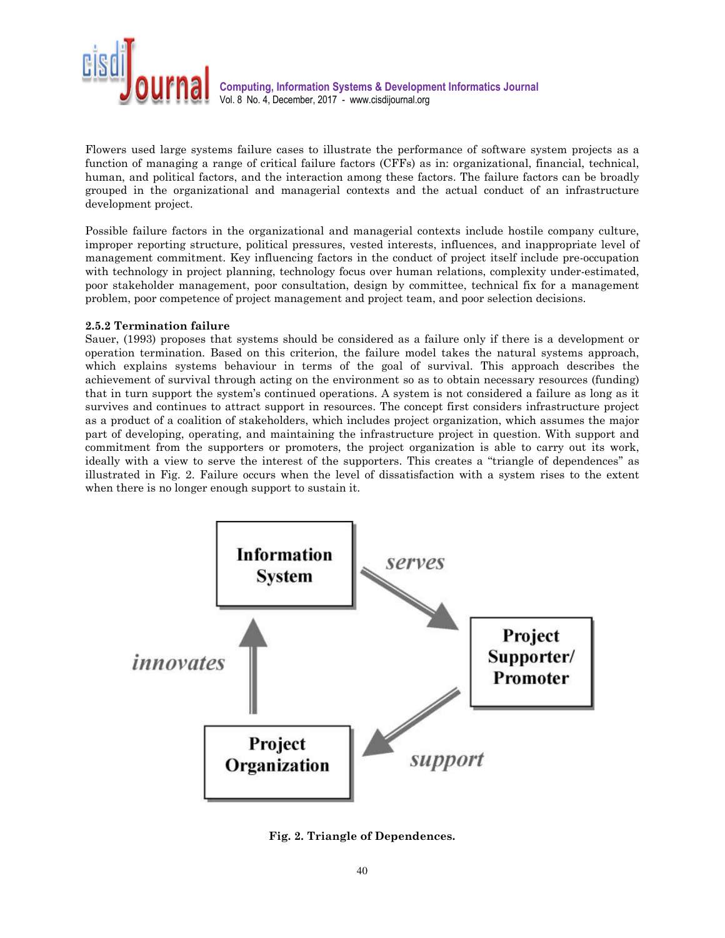

Flowers used large systems failure cases to illustrate the performance of software system projects as a function of managing a range of critical failure factors (CFFs) as in: organizational, financial, technical, human, and political factors, and the interaction among these factors. The failure factors can be broadly grouped in the organizational and managerial contexts and the actual conduct of an infrastructure development project.

Possible failure factors in the organizational and managerial contexts include hostile company culture, improper reporting structure, political pressures, vested interests, influences, and inappropriate level of management commitment. Key influencing factors in the conduct of project itself include pre-occupation with technology in project planning, technology focus over human relations, complexity under-estimated, poor stakeholder management, poor consultation, design by committee, technical fix for a management problem, poor competence of project management and project team, and poor selection decisions.

### **2.5.2 Termination failure**

Sauer, (1993) proposes that systems should be considered as a failure only if there is a development or operation termination. Based on this criterion, the failure model takes the natural systems approach, which explains systems behaviour in terms of the goal of survival. This approach describes the achievement of survival through acting on the environment so as to obtain necessary resources (funding) that in turn support the system's continued operations. A system is not considered a failure as long as it survives and continues to attract support in resources. The concept first considers infrastructure project as a product of a coalition of stakeholders, which includes project organization, which assumes the major part of developing, operating, and maintaining the infrastructure project in question. With support and commitment from the supporters or promoters, the project organization is able to carry out its work, ideally with a view to serve the interest of the supporters. This creates a "triangle of dependences" as illustrated in Fig. 2. Failure occurs when the level of dissatisfaction with a system rises to the extent when there is no longer enough support to sustain it.



**Fig. 2. Triangle of Dependences.**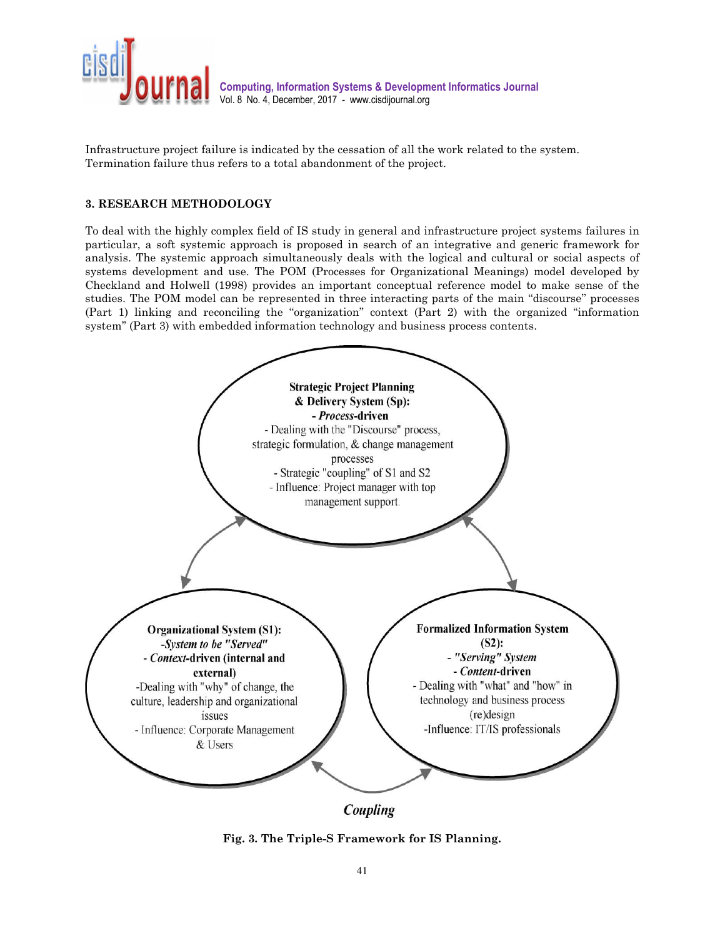

Infrastructure project failure is indicated by the cessation of all the work related to the system. Termination failure thus refers to a total abandonment of the project.

## **3. RESEARCH METHODOLOGY**

To deal with the highly complex field of IS study in general and infrastructure project systems failures in particular, a soft systemic approach is proposed in search of an integrative and generic framework for analysis. The systemic approach simultaneously deals with the logical and cultural or social aspects of systems development and use. The POM (Processes for Organizational Meanings) model developed by Checkland and Holwell (1998) provides an important conceptual reference model to make sense of the studies. The POM model can be represented in three interacting parts of the main ''discourse'' processes (Part 1) linking and reconciling the ''organization'' context (Part 2) with the organized ''information system'' (Part 3) with embedded information technology and business process contents.



Coupling

**Fig. 3. The Triple-S Framework for IS Planning.**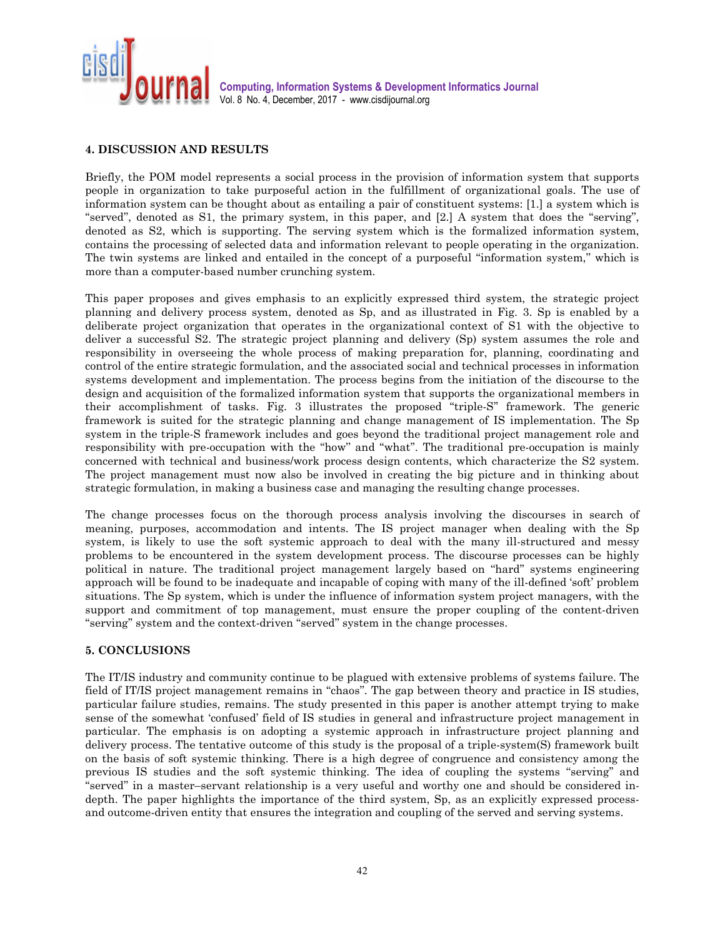

## **4. DISCUSSION AND RESULTS**

Briefly, the POM model represents a social process in the provision of information system that supports people in organization to take purposeful action in the fulfillment of organizational goals. The use of information system can be thought about as entailing a pair of constituent systems: [1.] a system which is "served", denoted as S1, the primary system, in this paper, and [2.] A system that does the "serving", denoted as S2, which is supporting. The serving system which is the formalized information system, contains the processing of selected data and information relevant to people operating in the organization. The twin systems are linked and entailed in the concept of a purposeful ''information system,'' which is more than a computer-based number crunching system.

This paper proposes and gives emphasis to an explicitly expressed third system, the strategic project planning and delivery process system, denoted as Sp, and as illustrated in Fig. 3. Sp is enabled by a deliberate project organization that operates in the organizational context of S1 with the objective to deliver a successful S2. The strategic project planning and delivery (Sp) system assumes the role and responsibility in overseeing the whole process of making preparation for, planning, coordinating and control of the entire strategic formulation, and the associated social and technical processes in information systems development and implementation. The process begins from the initiation of the discourse to the design and acquisition of the formalized information system that supports the organizational members in their accomplishment of tasks. Fig. 3 illustrates the proposed ''triple-S'' framework. The generic framework is suited for the strategic planning and change management of IS implementation. The Sp system in the triple-S framework includes and goes beyond the traditional project management role and responsibility with pre-occupation with the "how" and "what". The traditional pre-occupation is mainly concerned with technical and business/work process design contents, which characterize the S2 system. The project management must now also be involved in creating the big picture and in thinking about strategic formulation, in making a business case and managing the resulting change processes.

The change processes focus on the thorough process analysis involving the discourses in search of meaning, purposes, accommodation and intents. The IS project manager when dealing with the Sp system, is likely to use the soft systemic approach to deal with the many ill-structured and messy problems to be encountered in the system development process. The discourse processes can be highly political in nature. The traditional project management largely based on ''hard'' systems engineering approach will be found to be inadequate and incapable of coping with many of the ill-defined 'soft' problem situations. The Sp system, which is under the influence of information system project managers, with the support and commitment of top management, must ensure the proper coupling of the content-driven ''serving'' system and the context-driven ''served'' system in the change processes.

#### **5. CONCLUSIONS**

The IT/IS industry and community continue to be plagued with extensive problems of systems failure. The field of IT/IS project management remains in "chaos". The gap between theory and practice in IS studies, particular failure studies, remains. The study presented in this paper is another attempt trying to make sense of the somewhat 'confused' field of IS studies in general and infrastructure project management in particular. The emphasis is on adopting a systemic approach in infrastructure project planning and delivery process. The tentative outcome of this study is the proposal of a triple-system(S) framework built on the basis of soft systemic thinking. There is a high degree of congruence and consistency among the previous IS studies and the soft systemic thinking. The idea of coupling the systems ''serving'' and ''served'' in a master–servant relationship is a very useful and worthy one and should be considered indepth. The paper highlights the importance of the third system, Sp, as an explicitly expressed processand outcome-driven entity that ensures the integration and coupling of the served and serving systems.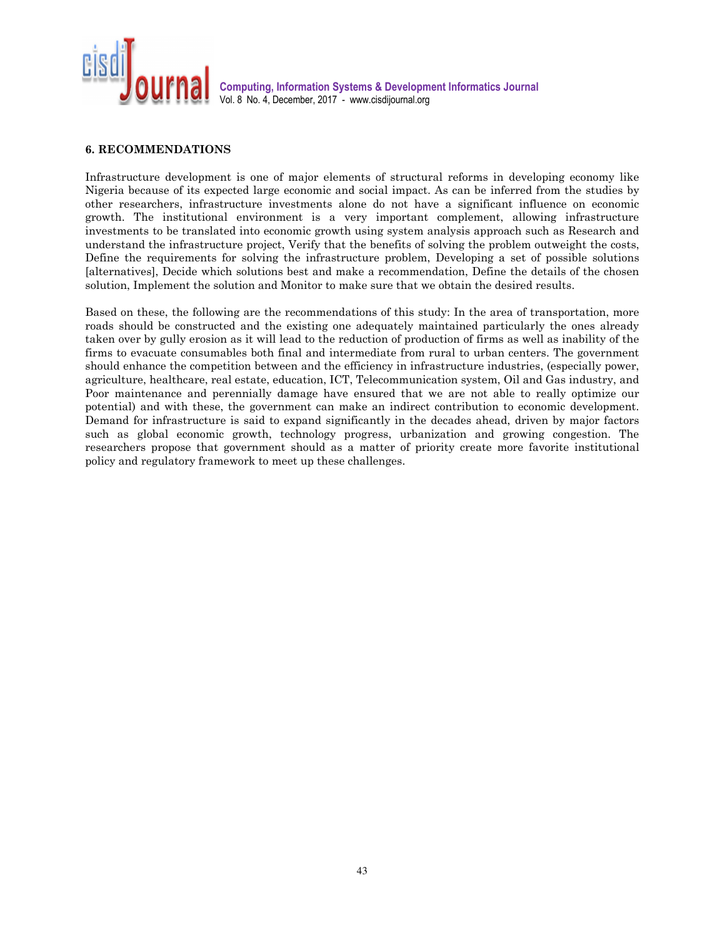

## **6. RECOMMENDATIONS**

Infrastructure development is one of major elements of structural reforms in developing economy like Nigeria because of its expected large economic and social impact. As can be inferred from the studies by other researchers, infrastructure investments alone do not have a significant influence on economic growth. The institutional environment is a very important complement, allowing infrastructure investments to be translated into economic growth using system analysis approach such as Research and understand the infrastructure project, Verify that the benefits of solving the problem outweight the costs, Define the requirements for solving the infrastructure problem, Developing a set of possible solutions [alternatives], Decide which solutions best and make a recommendation, Define the details of the chosen solution, Implement the solution and Monitor to make sure that we obtain the desired results.

Based on these, the following are the recommendations of this study: In the area of transportation, more roads should be constructed and the existing one adequately maintained particularly the ones already taken over by gully erosion as it will lead to the reduction of production of firms as well as inability of the firms to evacuate consumables both final and intermediate from rural to urban centers. The government should enhance the competition between and the efficiency in infrastructure industries, (especially power, agriculture, healthcare, real estate, education, ICT, Telecommunication system, Oil and Gas industry, and Poor maintenance and perennially damage have ensured that we are not able to really optimize our potential) and with these, the government can make an indirect contribution to economic development. Demand for infrastructure is said to expand significantly in the decades ahead, driven by major factors such as global economic growth, technology progress, urbanization and growing congestion. The researchers propose that government should as a matter of priority create more favorite institutional policy and regulatory framework to meet up these challenges.